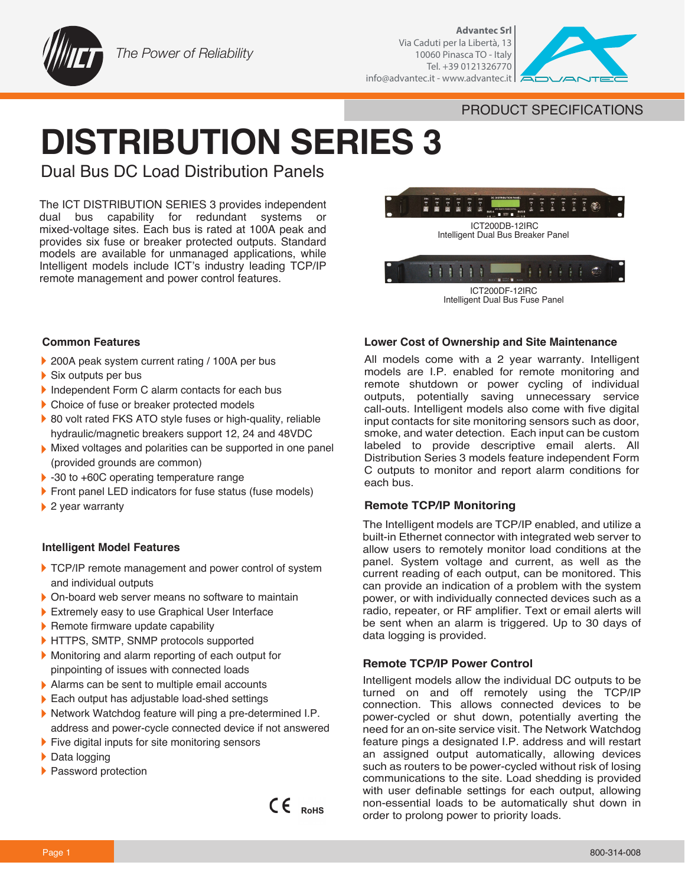

*The Power of Reliability* 

**Advantec Srl** Via Caduti per la Libertà, 13 10060 Pinasca TO - Italy Tel. +39 0121326770 info@advantec.it - www.advantec.it



PRODUCT SPECIFICATIONS

# **DISTRIBUTION SERIES 3**

Dual Bus DC Load Distribution Panels

The ICT DISTRIBUTION SERIES 3 provides independent dual bus capability for redundant systems or mixed-voltage sites. Each bus is rated at 100A peak and provides six fuse or breaker protected outputs. Standard models are available for unmanaged applications, while Intelligent models include ICT's industry leading TCP/IP remote management and power control features.



ICT200DF-12IRC Intelligent Dual Bus Fuse Panel

**Lower Cost of Ownership and Site Maintenance** 

#### **Common Features**

- ▶ 200A peak system current rating / 100A per bus
- Six outputs per bus
- Independent Form C alarm contacts for each bus
- } Choice of fuse or breaker protected models
- ▶ 80 volt rated FKS ATO style fuses or high-quality, reliable hydraulic/magnetic breakers support 12, 24 and 48VDC
- } Mixed voltages and polarities can be supported in one panel (provided grounds are common)
- ▶ -30 to +60C operating temperature range
- Front panel LED indicators for fuse status (fuse models)
- ▶ 2 year warranty

## **Intelligent Model Features**

- TCP/IP remote management and power control of system and individual outputs
- } On-board web server means no software to maintain
- } Extremely easy to use Graphical User Interface
- Remote firmware update capability
- } HTTPS, SMTP, SNMP protocols supported
- } Monitoring and alarm reporting of each output for pinpointing of issues with connected loads
- } Alarms can be sent to multiple email accounts
- } Each output has adjustable load-shed settings
- ▶ Network Watchdog feature will ping a pre-determined I.P. address and power-cycle connected device if not answered
- If Five digital inputs for site monitoring sensors
- ▶ Data logging
- ▶ Password protection



All models come with a 2 year warranty. Intelligent models are I.P. enabled for remote monitoring and remote shutdown or power cycling of individual outputs, potentially saving unnecessary service call-outs. Intelligent models also come with five digital input contacts for site monitoring sensors such as door, smoke, and water detection. Each input can be custom labeled to provide descriptive email alerts. All Distribution Series 3 models feature independent Form C outputs to monitor and report alarm conditions for each bus.

## **Remote TCP/IP Monitoring**

The Intelligent models are TCP/IP enabled, and utilize a built-in Ethernet connector with integrated web server to allow users to remotely monitor load conditions at the panel. System voltage and current, as well as the current reading of each output, can be monitored. This can provide an indication of a problem with the system power, or with individually connected devices such as a radio, repeater, or RF amplifier. Text or email alerts will be sent when an alarm is triggered. Up to 30 days of data logging is provided.

## **Remote TCP/IP Power Control**

Intelligent models allow the individual DC outputs to be turned on and off remotely using the TCP/IP connection. This allows connected devices to be power-cycled or shut down, potentially averting the need for an on-site service visit. The Network Watchdog feature pings a designated I.P. address and will restart an assigned output automatically, allowing devices such as routers to be power-cycled without risk of losing communications to the site. Load shedding is provided with user definable settings for each output, allowing non-essential loads to be automatically shut down in order to prolong power to priority loads.